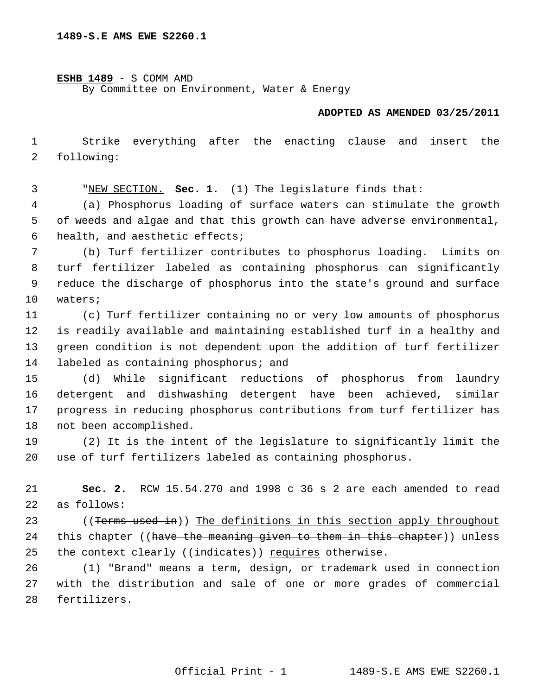**ESHB 1489** - S COMM AMD

By Committee on Environment, Water & Energy

## **ADOPTED AS AMENDED 03/25/2011**

 1 Strike everything after the enacting clause and insert the 2 following:

3 "NEW SECTION. **Sec. 1.** (1) The legislature finds that:

 4 (a) Phosphorus loading of surface waters can stimulate the growth 5 of weeds and algae and that this growth can have adverse environmental, 6 health, and aesthetic effects;

 7 (b) Turf fertilizer contributes to phosphorus loading. Limits on 8 turf fertilizer labeled as containing phosphorus can significantly 9 reduce the discharge of phosphorus into the state's ground and surface 10 waters;

11 (c) Turf fertilizer containing no or very low amounts of phosphorus 12 is readily available and maintaining established turf in a healthy and 13 green condition is not dependent upon the addition of turf fertilizer 14 labeled as containing phosphorus; and

15 (d) While significant reductions of phosphorus from laundry 16 detergent and dishwashing detergent have been achieved, similar 17 progress in reducing phosphorus contributions from turf fertilizer has 18 not been accomplished.

19 (2) It is the intent of the legislature to significantly limit the 20 use of turf fertilizers labeled as containing phosphorus.

21 **Sec. 2.** RCW 15.54.270 and 1998 c 36 s 2 are each amended to read 22 as follows:

23 ((Terms used in)) The definitions in this section apply throughout 24 this chapter ((have the meaning given to them in this chapter)) unless 25 the context clearly ((indicates)) requires otherwise.

26 (1) "Brand" means a term, design, or trademark used in connection 27 with the distribution and sale of one or more grades of commercial 28 fertilizers.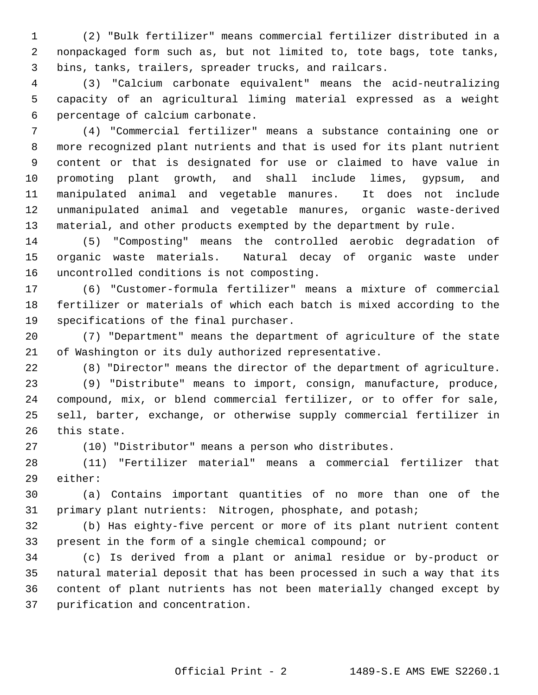1 (2) "Bulk fertilizer" means commercial fertilizer distributed in a 2 nonpackaged form such as, but not limited to, tote bags, tote tanks, 3 bins, tanks, trailers, spreader trucks, and railcars.

 4 (3) "Calcium carbonate equivalent" means the acid-neutralizing 5 capacity of an agricultural liming material expressed as a weight 6 percentage of calcium carbonate.

 7 (4) "Commercial fertilizer" means a substance containing one or 8 more recognized plant nutrients and that is used for its plant nutrient 9 content or that is designated for use or claimed to have value in 10 promoting plant growth, and shall include limes, gypsum, and 11 manipulated animal and vegetable manures. It does not include 12 unmanipulated animal and vegetable manures, organic waste-derived 13 material, and other products exempted by the department by rule.

14 (5) "Composting" means the controlled aerobic degradation of 15 organic waste materials. Natural decay of organic waste under 16 uncontrolled conditions is not composting.

17 (6) "Customer-formula fertilizer" means a mixture of commercial 18 fertilizer or materials of which each batch is mixed according to the 19 specifications of the final purchaser.

20 (7) "Department" means the department of agriculture of the state 21 of Washington or its duly authorized representative.

22 (8) "Director" means the director of the department of agriculture.

23 (9) "Distribute" means to import, consign, manufacture, produce, 24 compound, mix, or blend commercial fertilizer, or to offer for sale, 25 sell, barter, exchange, or otherwise supply commercial fertilizer in 26 this state.

27 (10) "Distributor" means a person who distributes.

28 (11) "Fertilizer material" means a commercial fertilizer that 29 either:

30 (a) Contains important quantities of no more than one of the 31 primary plant nutrients: Nitrogen, phosphate, and potash;

32 (b) Has eighty-five percent or more of its plant nutrient content 33 present in the form of a single chemical compound; or

34 (c) Is derived from a plant or animal residue or by-product or 35 natural material deposit that has been processed in such a way that its 36 content of plant nutrients has not been materially changed except by 37 purification and concentration.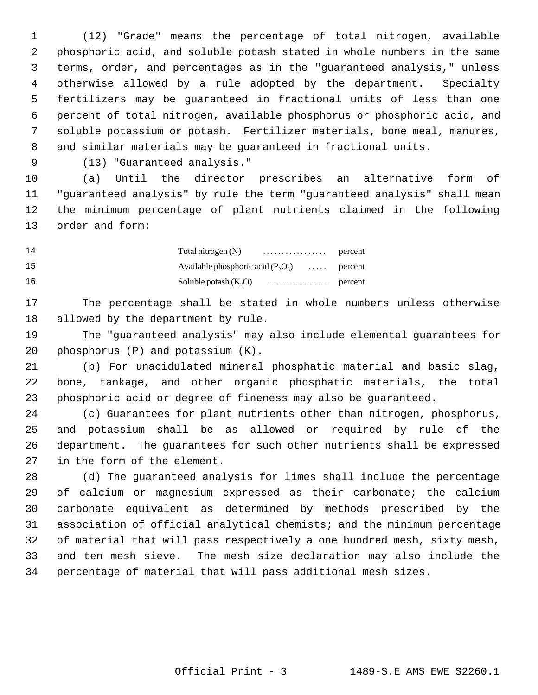1 (12) "Grade" means the percentage of total nitrogen, available 2 phosphoric acid, and soluble potash stated in whole numbers in the same 3 terms, order, and percentages as in the "guaranteed analysis," unless 4 otherwise allowed by a rule adopted by the department. Specialty 5 fertilizers may be guaranteed in fractional units of less than one 6 percent of total nitrogen, available phosphorus or phosphoric acid, and 7 soluble potassium or potash. Fertilizer materials, bone meal, manures, 8 and similar materials may be guaranteed in fractional units.

9 (13) "Guaranteed analysis."

10 (a) Until the director prescribes an alternative form of 11 "guaranteed analysis" by rule the term "guaranteed analysis" shall mean 12 the minimum percentage of plant nutrients claimed in the following 13 order and form:

| 14 |                                              |  |
|----|----------------------------------------------|--|
| 15 | Available phosphoric acid $(P_2O_5)$ percent |  |
| 16 |                                              |  |

17 The percentage shall be stated in whole numbers unless otherwise 18 allowed by the department by rule.

19 The "guaranteed analysis" may also include elemental guarantees for 20 phosphorus (P) and potassium (K).

21 (b) For unacidulated mineral phosphatic material and basic slag, 22 bone, tankage, and other organic phosphatic materials, the total 23 phosphoric acid or degree of fineness may also be guaranteed.

24 (c) Guarantees for plant nutrients other than nitrogen, phosphorus, 25 and potassium shall be as allowed or required by rule of the 26 department. The guarantees for such other nutrients shall be expressed 27 in the form of the element.

28 (d) The guaranteed analysis for limes shall include the percentage 29 of calcium or magnesium expressed as their carbonate; the calcium 30 carbonate equivalent as determined by methods prescribed by the 31 association of official analytical chemists; and the minimum percentage 32 of material that will pass respectively a one hundred mesh, sixty mesh, 33 and ten mesh sieve. The mesh size declaration may also include the 34 percentage of material that will pass additional mesh sizes.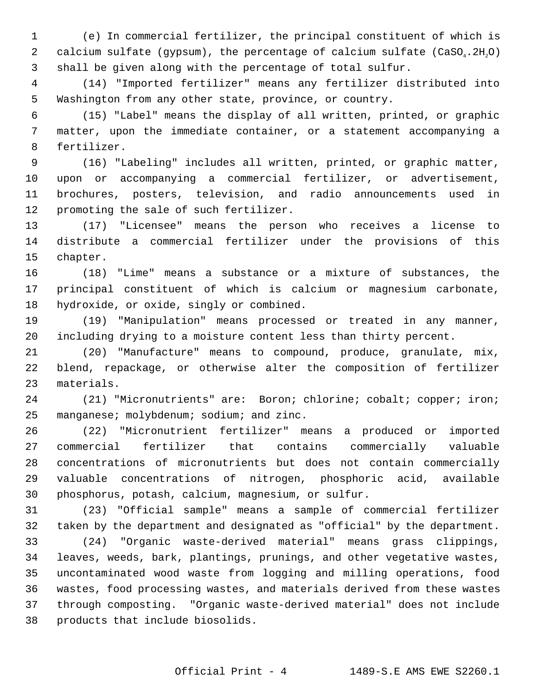1 (e) In commercial fertilizer, the principal constituent of which is 2 calcium sulfate (gypsum), the percentage of calcium sulfate  $(CaSO_4.2H,0)$ 3 shall be given along with the percentage of total sulfur.

 4 (14) "Imported fertilizer" means any fertilizer distributed into 5 Washington from any other state, province, or country.

 6 (15) "Label" means the display of all written, printed, or graphic 7 matter, upon the immediate container, or a statement accompanying a 8 fertilizer.

 9 (16) "Labeling" includes all written, printed, or graphic matter, 10 upon or accompanying a commercial fertilizer, or advertisement, 11 brochures, posters, television, and radio announcements used in 12 promoting the sale of such fertilizer.

13 (17) "Licensee" means the person who receives a license to 14 distribute a commercial fertilizer under the provisions of this 15 chapter.

16 (18) "Lime" means a substance or a mixture of substances, the 17 principal constituent of which is calcium or magnesium carbonate, 18 hydroxide, or oxide, singly or combined.

19 (19) "Manipulation" means processed or treated in any manner, 20 including drying to a moisture content less than thirty percent.

21 (20) "Manufacture" means to compound, produce, granulate, mix, 22 blend, repackage, or otherwise alter the composition of fertilizer 23 materials.

24 (21) "Micronutrients" are: Boron; chlorine; cobalt; copper; iron; 25 manganese; molybdenum; sodium; and zinc.

26 (22) "Micronutrient fertilizer" means a produced or imported 27 commercial fertilizer that contains commercially valuable 28 concentrations of micronutrients but does not contain commercially 29 valuable concentrations of nitrogen, phosphoric acid, available 30 phosphorus, potash, calcium, magnesium, or sulfur.

31 (23) "Official sample" means a sample of commercial fertilizer 32 taken by the department and designated as "official" by the department. 33 (24) "Organic waste-derived material" means grass clippings, 34 leaves, weeds, bark, plantings, prunings, and other vegetative wastes, 35 uncontaminated wood waste from logging and milling operations, food 36 wastes, food processing wastes, and materials derived from these wastes

37 through composting. "Organic waste-derived material" does not include 38 products that include biosolids.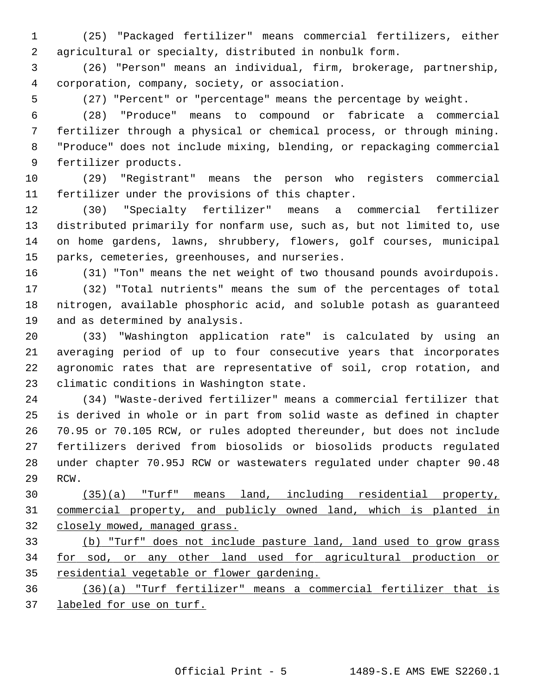1 (25) "Packaged fertilizer" means commercial fertilizers, either 2 agricultural or specialty, distributed in nonbulk form.

 3 (26) "Person" means an individual, firm, brokerage, partnership, 4 corporation, company, society, or association.

5 (27) "Percent" or "percentage" means the percentage by weight.

 6 (28) "Produce" means to compound or fabricate a commercial 7 fertilizer through a physical or chemical process, or through mining. 8 "Produce" does not include mixing, blending, or repackaging commercial 9 fertilizer products.

10 (29) "Registrant" means the person who registers commercial 11 fertilizer under the provisions of this chapter.

12 (30) "Specialty fertilizer" means a commercial fertilizer 13 distributed primarily for nonfarm use, such as, but not limited to, use 14 on home gardens, lawns, shrubbery, flowers, golf courses, municipal 15 parks, cemeteries, greenhouses, and nurseries.

16 (31) "Ton" means the net weight of two thousand pounds avoirdupois.

17 (32) "Total nutrients" means the sum of the percentages of total 18 nitrogen, available phosphoric acid, and soluble potash as guaranteed 19 and as determined by analysis.

20 (33) "Washington application rate" is calculated by using an 21 averaging period of up to four consecutive years that incorporates 22 agronomic rates that are representative of soil, crop rotation, and 23 climatic conditions in Washington state.

24 (34) "Waste-derived fertilizer" means a commercial fertilizer that 25 is derived in whole or in part from solid waste as defined in chapter 26 70.95 or 70.105 RCW, or rules adopted thereunder, but does not include 27 fertilizers derived from biosolids or biosolids products regulated 28 under chapter 70.95J RCW or wastewaters regulated under chapter 90.48 29 RCW.

30 (35)(a) "Turf" means land, including residential property, 31 commercial property, and publicly owned land, which is planted in 32 closely mowed, managed grass.

33 (b) "Turf" does not include pasture land, land used to grow grass 34 for sod, or any other land used for agricultural production or 35 residential vegetable or flower gardening.

36 (36)(a) "Turf fertilizer" means a commercial fertilizer that is 37 labeled for use on turf.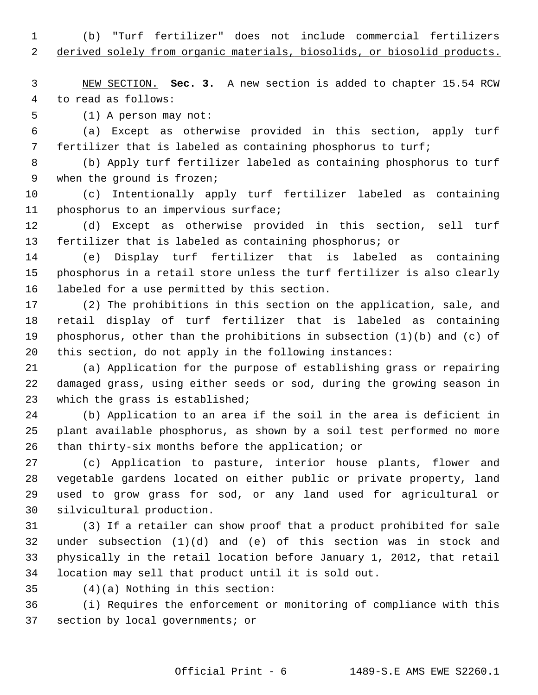1 (b) "Turf fertilizer" does not include commercial fertilizers

2 derived solely from organic materials, biosolids, or biosolid products.

 3 NEW SECTION. **Sec. 3.** A new section is added to chapter 15.54 RCW 4 to read as follows:

5 (1) A person may not:

 6 (a) Except as otherwise provided in this section, apply turf 7 fertilizer that is labeled as containing phosphorus to turf;

 8 (b) Apply turf fertilizer labeled as containing phosphorus to turf 9 when the ground is frozen;

10 (c) Intentionally apply turf fertilizer labeled as containing 11 phosphorus to an impervious surface;

12 (d) Except as otherwise provided in this section, sell turf 13 fertilizer that is labeled as containing phosphorus; or

14 (e) Display turf fertilizer that is labeled as containing 15 phosphorus in a retail store unless the turf fertilizer is also clearly 16 labeled for a use permitted by this section.

17 (2) The prohibitions in this section on the application, sale, and 18 retail display of turf fertilizer that is labeled as containing 19 phosphorus, other than the prohibitions in subsection  $(1)(b)$  and  $(c)$  of 20 this section, do not apply in the following instances:

21 (a) Application for the purpose of establishing grass or repairing 22 damaged grass, using either seeds or sod, during the growing season in 23 which the grass is established;

24 (b) Application to an area if the soil in the area is deficient in 25 plant available phosphorus, as shown by a soil test performed no more 26 than thirty-six months before the application; or

27 (c) Application to pasture, interior house plants, flower and 28 vegetable gardens located on either public or private property, land 29 used to grow grass for sod, or any land used for agricultural or 30 silvicultural production.

31 (3) If a retailer can show proof that a product prohibited for sale 32 under subsection (1)(d) and (e) of this section was in stock and 33 physically in the retail location before January 1, 2012, that retail 34 location may sell that product until it is sold out.

35 (4)(a) Nothing in this section:

36 (i) Requires the enforcement or monitoring of compliance with this 37 section by local governments; or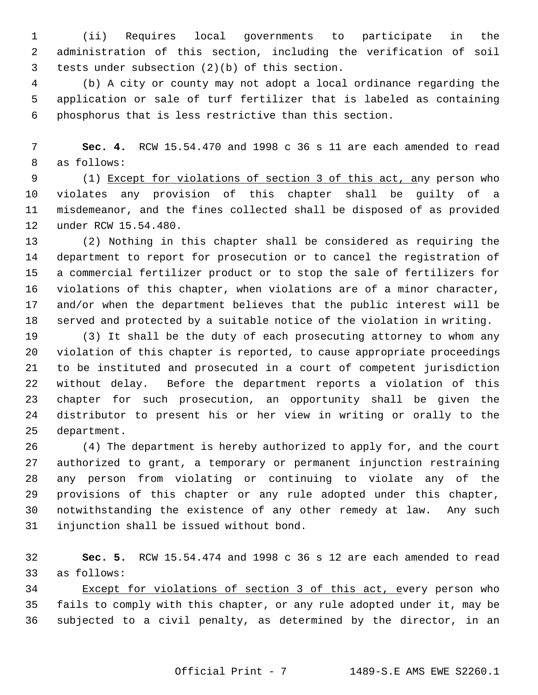1 (ii) Requires local governments to participate in the 2 administration of this section, including the verification of soil 3 tests under subsection (2)(b) of this section.

 4 (b) A city or county may not adopt a local ordinance regarding the 5 application or sale of turf fertilizer that is labeled as containing 6 phosphorus that is less restrictive than this section.

 7 **Sec. 4.** RCW 15.54.470 and 1998 c 36 s 11 are each amended to read 8 as follows:

 9 (1) Except for violations of section 3 of this act, any person who 10 violates any provision of this chapter shall be guilty of a 11 misdemeanor, and the fines collected shall be disposed of as provided 12 under RCW 15.54.480.

13 (2) Nothing in this chapter shall be considered as requiring the 14 department to report for prosecution or to cancel the registration of 15 a commercial fertilizer product or to stop the sale of fertilizers for 16 violations of this chapter, when violations are of a minor character, 17 and/or when the department believes that the public interest will be 18 served and protected by a suitable notice of the violation in writing.

19 (3) It shall be the duty of each prosecuting attorney to whom any 20 violation of this chapter is reported, to cause appropriate proceedings 21 to be instituted and prosecuted in a court of competent jurisdiction 22 without delay. Before the department reports a violation of this 23 chapter for such prosecution, an opportunity shall be given the 24 distributor to present his or her view in writing or orally to the 25 department.

26 (4) The department is hereby authorized to apply for, and the court 27 authorized to grant, a temporary or permanent injunction restraining 28 any person from violating or continuing to violate any of the 29 provisions of this chapter or any rule adopted under this chapter, 30 notwithstanding the existence of any other remedy at law. Any such 31 injunction shall be issued without bond.

32 **Sec. 5.** RCW 15.54.474 and 1998 c 36 s 12 are each amended to read 33 as follows:

34 Except for violations of section 3 of this act, every person who 35 fails to comply with this chapter, or any rule adopted under it, may be 36 subjected to a civil penalty, as determined by the director, in an